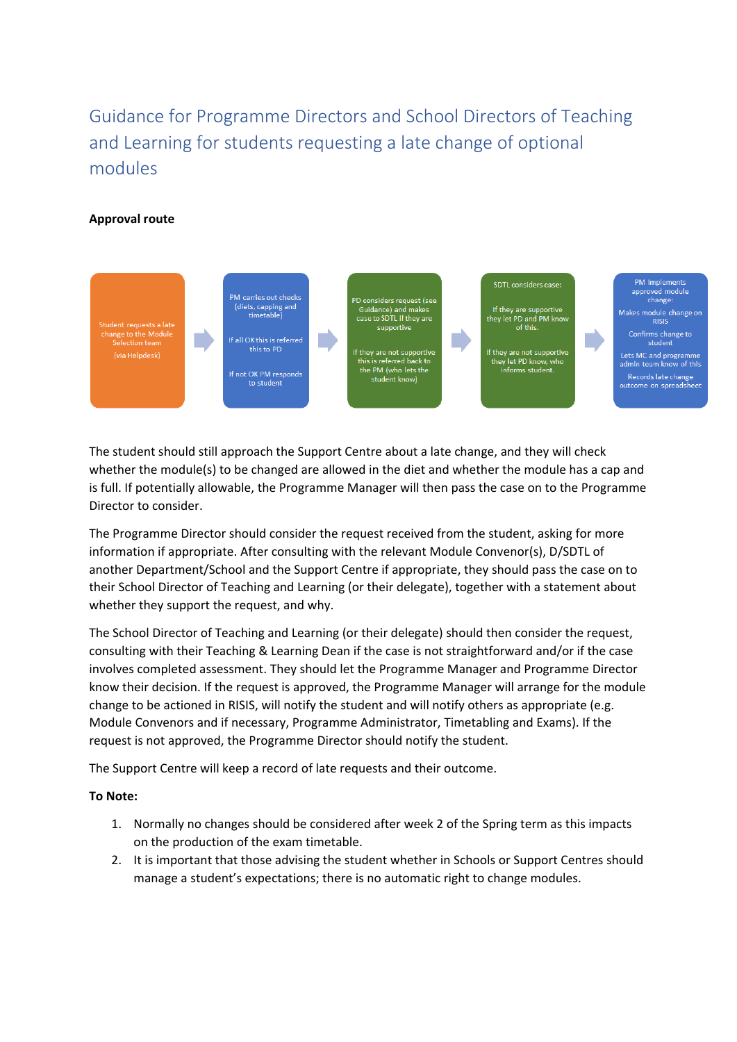# Guidance for Programme Directors and School Directors of Teaching and Learning for students requesting a late change of optional modules

## **Approval route**



The student should still approach the Support Centre about a late change, and they will check whether the module(s) to be changed are allowed in the diet and whether the module has a cap and is full. If potentially allowable, the Programme Manager will then pass the case on to the Programme Director to consider.

The Programme Director should consider the request received from the student, asking for more information if appropriate. After consulting with the relevant Module Convenor(s), D/SDTL of another Department/School and the Support Centre if appropriate, they should pass the case on to their School Director of Teaching and Learning (or their delegate), together with a statement about whether they support the request, and why.

The School Director of Teaching and Learning (or their delegate) should then consider the request, consulting with their Teaching & Learning Dean if the case is not straightforward and/or if the case involves completed assessment. They should let the Programme Manager and Programme Director know their decision. If the request is approved, the Programme Manager will arrange for the module change to be actioned in RISIS, will notify the student and will notify others as appropriate (e.g. Module Convenors and if necessary, Programme Administrator, Timetabling and Exams). If the request is not approved, the Programme Director should notify the student.

The Support Centre will keep a record of late requests and their outcome.

## **To Note:**

- 1. Normally no changes should be considered after week 2 of the Spring term as this impacts on the production of the exam timetable.
- 2. It is important that those advising the student whether in Schools or Support Centres should manage a student's expectations; there is no automatic right to change modules.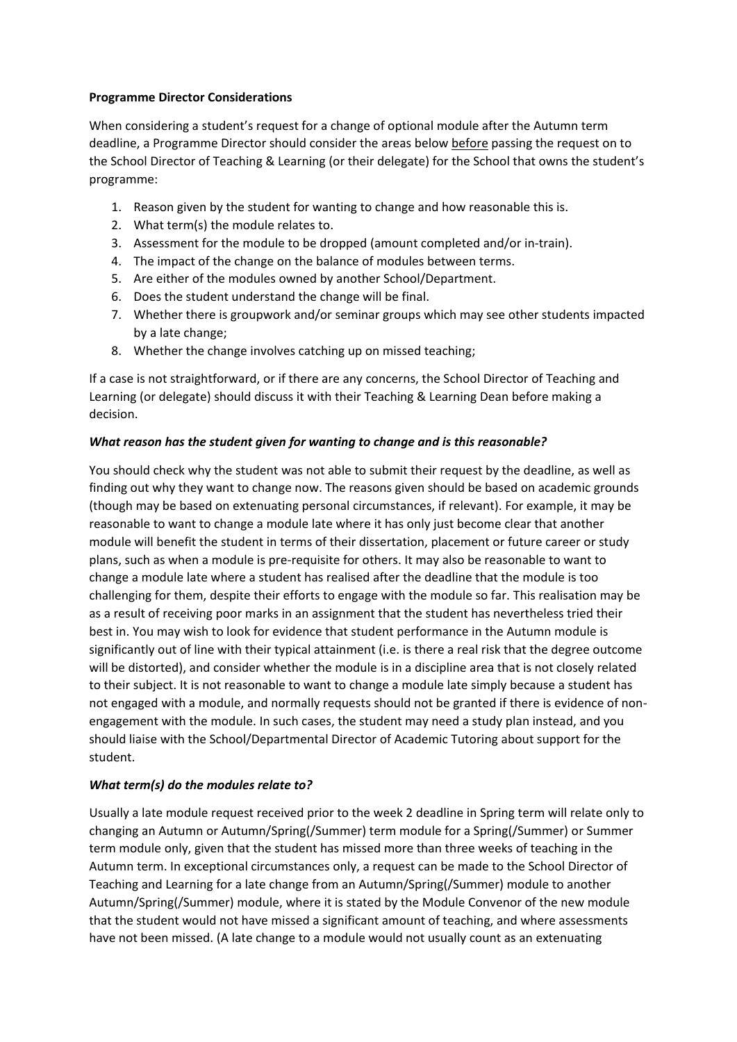#### **Programme Director Considerations**

When considering a student's request for a change of optional module after the Autumn term deadline, a Programme Director should consider the areas below before passing the request on to the School Director of Teaching & Learning (or their delegate) for the School that owns the student's programme:

- 1. Reason given by the student for wanting to change and how reasonable this is.
- 2. What term(s) the module relates to.
- 3. Assessment for the module to be dropped (amount completed and/or in-train).
- 4. The impact of the change on the balance of modules between terms.
- 5. Are either of the modules owned by another School/Department.
- 6. Does the student understand the change will be final.
- 7. Whether there is groupwork and/or seminar groups which may see other students impacted by a late change;
- 8. Whether the change involves catching up on missed teaching;

If a case is not straightforward, or if there are any concerns, the School Director of Teaching and Learning (or delegate) should discuss it with their Teaching & Learning Dean before making a decision.

## *What reason has the student given for wanting to change and is this reasonable?*

You should check why the student was not able to submit their request by the deadline, as well as finding out why they want to change now. The reasons given should be based on academic grounds (though may be based on extenuating personal circumstances, if relevant). For example, it may be reasonable to want to change a module late where it has only just become clear that another module will benefit the student in terms of their dissertation, placement or future career or study plans, such as when a module is pre-requisite for others. It may also be reasonable to want to change a module late where a student has realised after the deadline that the module is too challenging for them, despite their efforts to engage with the module so far. This realisation may be as a result of receiving poor marks in an assignment that the student has nevertheless tried their best in. You may wish to look for evidence that student performance in the Autumn module is significantly out of line with their typical attainment (i.e. is there a real risk that the degree outcome will be distorted), and consider whether the module is in a discipline area that is not closely related to their subject. It is not reasonable to want to change a module late simply because a student has not engaged with a module, and normally requests should not be granted if there is evidence of nonengagement with the module. In such cases, the student may need a study plan instead, and you should liaise with the School/Departmental Director of Academic Tutoring about support for the student.

## *What term(s) do the modules relate to?*

Usually a late module request received prior to the week 2 deadline in Spring term will relate only to changing an Autumn or Autumn/Spring(/Summer) term module for a Spring(/Summer) or Summer term module only, given that the student has missed more than three weeks of teaching in the Autumn term. In exceptional circumstances only, a request can be made to the School Director of Teaching and Learning for a late change from an Autumn/Spring(/Summer) module to another Autumn/Spring(/Summer) module, where it is stated by the Module Convenor of the new module that the student would not have missed a significant amount of teaching, and where assessments have not been missed. (A late change to a module would not usually count as an extenuating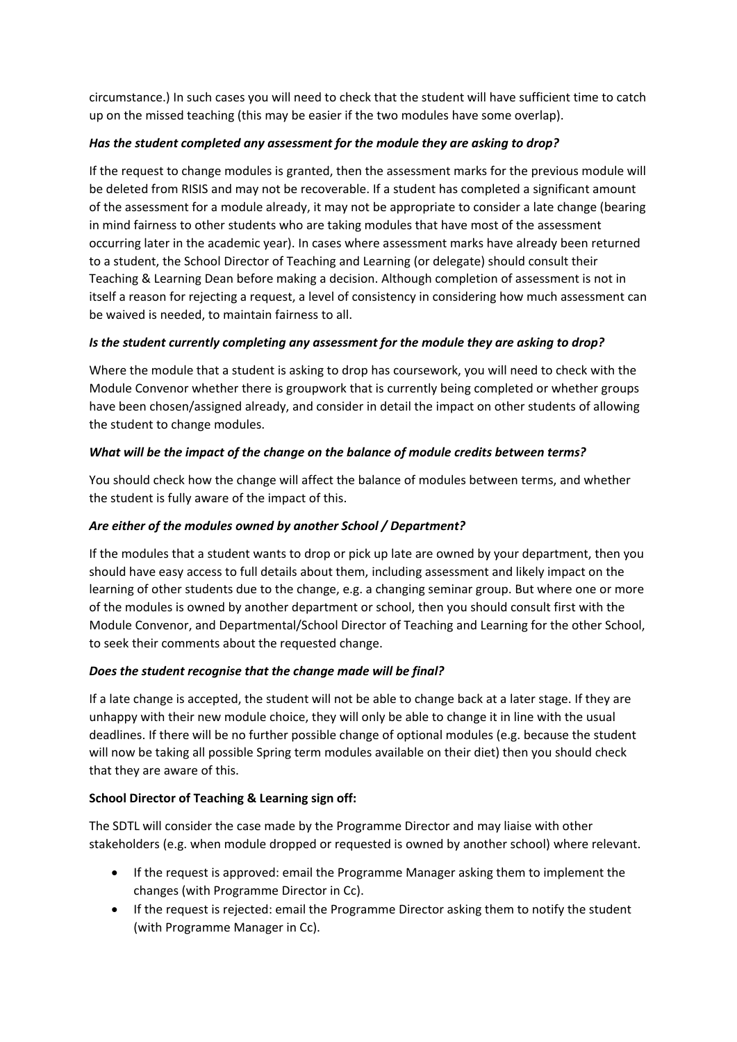circumstance.) In such cases you will need to check that the student will have sufficient time to catch up on the missed teaching (this may be easier if the two modules have some overlap).

## *Has the student completed any assessment for the module they are asking to drop?*

If the request to change modules is granted, then the assessment marks for the previous module will be deleted from RISIS and may not be recoverable. If a student has completed a significant amount of the assessment for a module already, it may not be appropriate to consider a late change (bearing in mind fairness to other students who are taking modules that have most of the assessment occurring later in the academic year). In cases where assessment marks have already been returned to a student, the School Director of Teaching and Learning (or delegate) should consult their Teaching & Learning Dean before making a decision. Although completion of assessment is not in itself a reason for rejecting a request, a level of consistency in considering how much assessment can be waived is needed, to maintain fairness to all.

## *Is the student currently completing any assessment for the module they are asking to drop?*

Where the module that a student is asking to drop has coursework, you will need to check with the Module Convenor whether there is groupwork that is currently being completed or whether groups have been chosen/assigned already, and consider in detail the impact on other students of allowing the student to change modules.

## *What will be the impact of the change on the balance of module credits between terms?*

You should check how the change will affect the balance of modules between terms, and whether the student is fully aware of the impact of this.

## *Are either of the modules owned by another School / Department?*

If the modules that a student wants to drop or pick up late are owned by your department, then you should have easy access to full details about them, including assessment and likely impact on the learning of other students due to the change, e.g. a changing seminar group. But where one or more of the modules is owned by another department or school, then you should consult first with the Module Convenor, and Departmental/School Director of Teaching and Learning for the other School, to seek their comments about the requested change.

## *Does the student recognise that the change made will be final?*

If a late change is accepted, the student will not be able to change back at a later stage. If they are unhappy with their new module choice, they will only be able to change it in line with the usual deadlines. If there will be no further possible change of optional modules (e.g. because the student will now be taking all possible Spring term modules available on their diet) then you should check that they are aware of this.

## **School Director of Teaching & Learning sign off:**

The SDTL will consider the case made by the Programme Director and may liaise with other stakeholders (e.g. when module dropped or requested is owned by another school) where relevant.

- If the request is approved: email the Programme Manager asking them to implement the changes (with Programme Director in Cc).
- If the request is rejected: email the Programme Director asking them to notify the student (with Programme Manager in Cc).